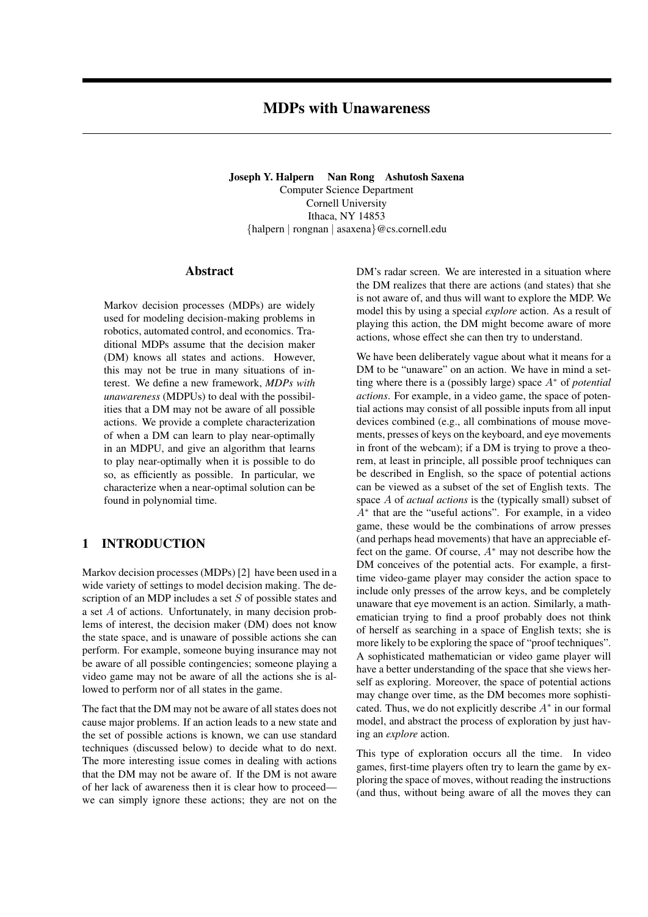Joseph Y. Halpern Nan Rong Ashutosh Saxena Computer Science Department Cornell University Ithaca, NY 14853 {halpern | rongnan | asaxena}@cs.cornell.edu

### Abstract

Markov decision processes (MDPs) are widely used for modeling decision-making problems in robotics, automated control, and economics. Traditional MDPs assume that the decision maker (DM) knows all states and actions. However, this may not be true in many situations of interest. We define a new framework, *MDPs with unawareness* (MDPUs) to deal with the possibilities that a DM may not be aware of all possible actions. We provide a complete characterization of when a DM can learn to play near-optimally in an MDPU, and give an algorithm that learns to play near-optimally when it is possible to do so, as efficiently as possible. In particular, we characterize when a near-optimal solution can be found in polynomial time.

# 1 INTRODUCTION

Markov decision processes (MDPs) [2] have been used in a wide variety of settings to model decision making. The description of an MDP includes a set S of possible states and a set A of actions. Unfortunately, in many decision problems of interest, the decision maker (DM) does not know the state space, and is unaware of possible actions she can perform. For example, someone buying insurance may not be aware of all possible contingencies; someone playing a video game may not be aware of all the actions she is allowed to perform nor of all states in the game.

The fact that the DM may not be aware of all states does not cause major problems. If an action leads to a new state and the set of possible actions is known, we can use standard techniques (discussed below) to decide what to do next. The more interesting issue comes in dealing with actions that the DM may not be aware of. If the DM is not aware of her lack of awareness then it is clear how to proceed we can simply ignore these actions; they are not on the DM's radar screen. We are interested in a situation where the DM realizes that there are actions (and states) that she is not aware of, and thus will want to explore the MDP. We model this by using a special *explore* action. As a result of playing this action, the DM might become aware of more actions, whose effect she can then try to understand.

We have been deliberately vague about what it means for a DM to be "unaware" on an action. We have in mind a setting where there is a (possibly large) space A<sup>∗</sup> of *potential actions*. For example, in a video game, the space of potential actions may consist of all possible inputs from all input devices combined (e.g., all combinations of mouse movements, presses of keys on the keyboard, and eye movements in front of the webcam); if a DM is trying to prove a theorem, at least in principle, all possible proof techniques can be described in English, so the space of potential actions can be viewed as a subset of the set of English texts. The space A of *actual actions* is the (typically small) subset of A<sup>∗</sup> that are the "useful actions". For example, in a video game, these would be the combinations of arrow presses (and perhaps head movements) that have an appreciable effect on the game. Of course,  $A^*$  may not describe how the DM conceives of the potential acts. For example, a firsttime video-game player may consider the action space to include only presses of the arrow keys, and be completely unaware that eye movement is an action. Similarly, a mathematician trying to find a proof probably does not think of herself as searching in a space of English texts; she is more likely to be exploring the space of "proof techniques". A sophisticated mathematician or video game player will have a better understanding of the space that she views herself as exploring. Moreover, the space of potential actions may change over time, as the DM becomes more sophisticated. Thus, we do not explicitly describe  $A^*$  in our formal model, and abstract the process of exploration by just having an *explore* action.

This type of exploration occurs all the time. In video games, first-time players often try to learn the game by exploring the space of moves, without reading the instructions (and thus, without being aware of all the moves they can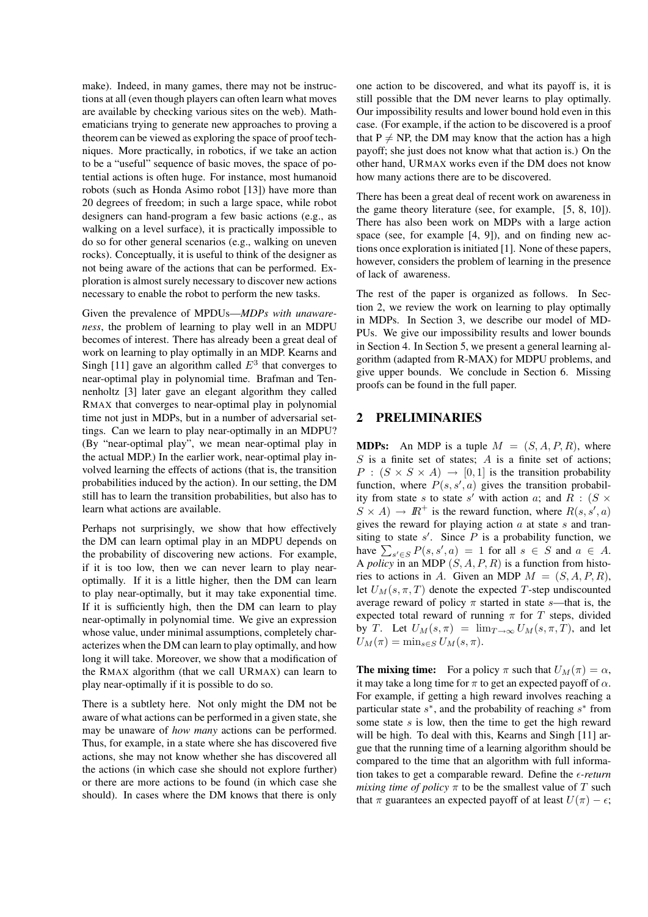make). Indeed, in many games, there may not be instructions at all (even though players can often learn what moves are available by checking various sites on the web). Mathematicians trying to generate new approaches to proving a theorem can be viewed as exploring the space of proof techniques. More practically, in robotics, if we take an action to be a "useful" sequence of basic moves, the space of potential actions is often huge. For instance, most humanoid robots (such as Honda Asimo robot [13]) have more than 20 degrees of freedom; in such a large space, while robot designers can hand-program a few basic actions (e.g., as walking on a level surface), it is practically impossible to do so for other general scenarios (e.g., walking on uneven rocks). Conceptually, it is useful to think of the designer as not being aware of the actions that can be performed. Exploration is almost surely necessary to discover new actions necessary to enable the robot to perform the new tasks.

Given the prevalence of MPDUs—*MDPs with unawareness*, the problem of learning to play well in an MDPU becomes of interest. There has already been a great deal of work on learning to play optimally in an MDP. Kearns and Singh [11] gave an algorithm called  $E<sup>3</sup>$  that converges to near-optimal play in polynomial time. Brafman and Tennenholtz [3] later gave an elegant algorithm they called RMAX that converges to near-optimal play in polynomial time not just in MDPs, but in a number of adversarial settings. Can we learn to play near-optimally in an MDPU? (By "near-optimal play", we mean near-optimal play in the actual MDP.) In the earlier work, near-optimal play involved learning the effects of actions (that is, the transition probabilities induced by the action). In our setting, the DM still has to learn the transition probabilities, but also has to learn what actions are available.

Perhaps not surprisingly, we show that how effectively the DM can learn optimal play in an MDPU depends on the probability of discovering new actions. For example, if it is too low, then we can never learn to play nearoptimally. If it is a little higher, then the DM can learn to play near-optimally, but it may take exponential time. If it is sufficiently high, then the DM can learn to play near-optimally in polynomial time. We give an expression whose value, under minimal assumptions, completely characterizes when the DM can learn to play optimally, and how long it will take. Moreover, we show that a modification of the RMAX algorithm (that we call URMAX) can learn to play near-optimally if it is possible to do so.

There is a subtlety here. Not only might the DM not be aware of what actions can be performed in a given state, she may be unaware of *how many* actions can be performed. Thus, for example, in a state where she has discovered five actions, she may not know whether she has discovered all the actions (in which case she should not explore further) or there are more actions to be found (in which case she should). In cases where the DM knows that there is only

one action to be discovered, and what its payoff is, it is still possible that the DM never learns to play optimally. Our impossibility results and lower bound hold even in this case. (For example, if the action to be discovered is a proof that  $P \neq NP$ , the DM may know that the action has a high payoff; she just does not know what that action is.) On the other hand, URMAX works even if the DM does not know how many actions there are to be discovered.

There has been a great deal of recent work on awareness in the game theory literature (see, for example, [5, 8, 10]). There has also been work on MDPs with a large action space (see, for example [4, 9]), and on finding new actions once exploration is initiated [1]. None of these papers, however, considers the problem of learning in the presence of lack of awareness.

The rest of the paper is organized as follows. In Section 2, we review the work on learning to play optimally in MDPs. In Section 3, we describe our model of MD-PUs. We give our impossibility results and lower bounds in Section 4. In Section 5, we present a general learning algorithm (adapted from R-MAX) for MDPU problems, and give upper bounds. We conclude in Section 6. Missing proofs can be found in the full paper.

### 2 PRELIMINARIES

**MDPs:** An MDP is a tuple  $M = (S, A, P, R)$ , where  $S$  is a finite set of states;  $A$  is a finite set of actions;  $P : (S \times S \times A) \rightarrow [0, 1]$  is the transition probability function, where  $P(s, s', a)$  gives the transition probability from state s to state s' with action a; and R :  $(S \times$  $S \times A$   $\rightarrow \mathbb{R}^+$  is the reward function, where  $R(s, s', a)$ gives the reward for playing action  $a$  at state  $s$  and transiting to state  $s'$ . Since  $P$  is a probability function, we have  $\sum_{s' \in S} P(s, s', a) = 1$  for all  $s \in S$  and  $a \in A$ . A *policy* in an MDP (S, A, P, R) is a function from histories to actions in A. Given an MDP  $M = (S, A, P, R)$ , let  $U_M(s, \pi, T)$  denote the expected T-step undiscounted average reward of policy  $\pi$  started in state s—that is, the expected total reward of running  $\pi$  for T steps, divided by T. Let  $U_M(s,\pi) = \lim_{T\to\infty} U_M(s,\pi,T)$ , and let  $U_M(\pi) = \min_{s \in S} U_M(s, \pi).$ 

**The mixing time:** For a policy  $\pi$  such that  $U_M(\pi) = \alpha$ , it may take a long time for  $\pi$  to get an expected payoff of  $\alpha$ . For example, if getting a high reward involves reaching a particular state  $s^*$ , and the probability of reaching  $s^*$  from some state  $s$  is low, then the time to get the high reward will be high. To deal with this, Kearns and Singh [11] argue that the running time of a learning algorithm should be compared to the time that an algorithm with full information takes to get a comparable reward. Define the  $\epsilon$ -return *mixing time of policy*  $\pi$  to be the smallest value of T such that  $\pi$  guarantees an expected payoff of at least  $U(\pi) - \epsilon$ ;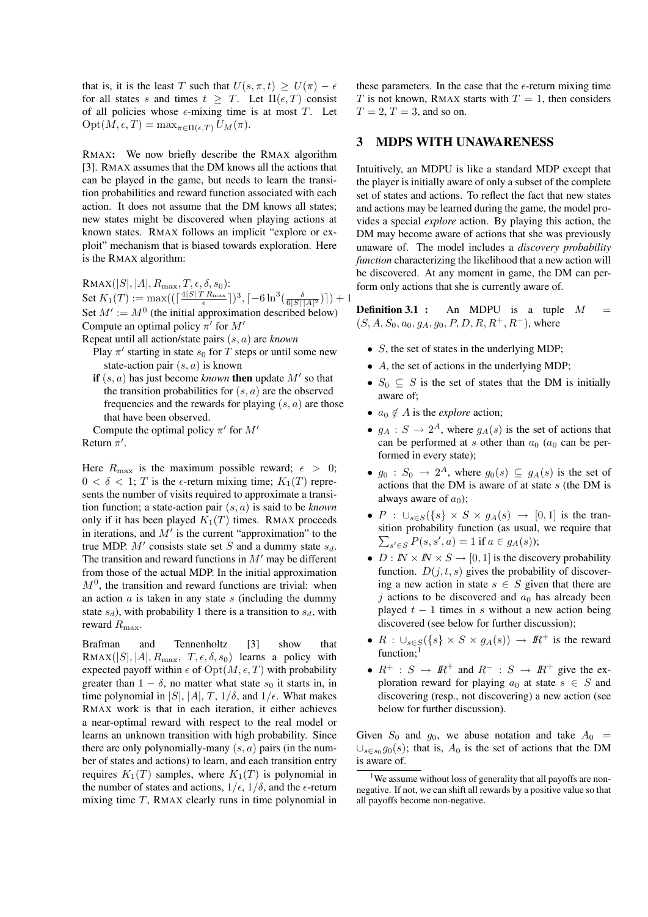that is, it is the least T such that  $U(s, \pi, t) > U(\pi) - \epsilon$ for all states s and times  $t \geq T$ . Let  $\Pi(\epsilon, T)$  consist of all policies whose  $\epsilon$ -mixing time is at most T. Let  $\mathrm{Opt}(M, \epsilon, T) = \max_{\pi \in \Pi(\epsilon, T)} U_M(\pi).$ 

RMAX: We now briefly describe the RMAX algorithm [3]. RMAX assumes that the DM knows all the actions that can be played in the game, but needs to learn the transition probabilities and reward function associated with each action. It does not assume that the DM knows all states; new states might be discovered when playing actions at known states. RMAX follows an implicit "explore or exploit" mechanism that is biased towards exploration. Here is the RMAX algorithm:

 $\text{RMAX}(|S|, |A|, R_{\text{max}}, T, \epsilon, \delta, s_0)$ : Set  $K_1(T) := \max((\lceil\frac{4|S| T R_{\max}}{\epsilon}\rceil)^3, \lceil -6\ln^3(\frac{\delta}{6|S|\,|A|^2})\rceil) + 1$ Set  $M' := M^0$  (the initial approximation described below) Compute an optimal policy  $\pi'$  for  $M'$ 

Repeat until all action/state pairs (s, a) are *known*

- Play  $\pi'$  starting in state  $s_0$  for T steps or until some new state-action pair  $(s, a)$  is known
- if  $(s, a)$  has just become *known* then update  $M'$  so that the transition probabilities for  $(s, a)$  are the observed frequencies and the rewards for playing  $(s, a)$  are those that have been observed.

Compute the optimal policy  $\pi'$  for  $M'$ Return  $\pi'$ .

Here  $R_{\text{max}}$  is the maximum possible reward;  $\epsilon > 0$ ;  $0 < \delta < 1$ ; T is the  $\epsilon$ -return mixing time;  $K_1(T)$  represents the number of visits required to approximate a transition function; a state-action pair (s, a) is said to be *known* only if it has been played  $K_1(T)$  times. RMAX proceeds in iterations, and  $M'$  is the current "approximation" to the true MDP.  $M'$  consists state set S and a dummy state  $s_d$ . The transition and reward functions in  $M'$  may be different from those of the actual MDP. In the initial approximation  $M<sup>0</sup>$ , the transition and reward functions are trivial: when an action  $\alpha$  is taken in any state  $s$  (including the dummy state  $s_d$ ), with probability 1 there is a transition to  $s_d$ , with reward  $R_{\text{max}}$ .

Brafman and Tennenholtz [3] show that  $\text{RMAX}(|S|, |A|, R_{\text{max}}, T, \epsilon, \delta, s_0)$  learns a policy with expected payoff within  $\epsilon$  of  $Opt(M, \epsilon, T)$  with probability greater than  $1 - \delta$ , no matter what state  $s_0$  it starts in, in time polynomial in |S|, |A|, T,  $1/\delta$ , and  $1/\epsilon$ . What makes RMAX work is that in each iteration, it either achieves a near-optimal reward with respect to the real model or learns an unknown transition with high probability. Since there are only polynomially-many  $(s, a)$  pairs (in the number of states and actions) to learn, and each transition entry requires  $K_1(T)$  samples, where  $K_1(T)$  is polynomial in the number of states and actions,  $1/\epsilon$ ,  $1/\delta$ , and the  $\epsilon$ -return mixing time  $T$ , RMAX clearly runs in time polynomial in these parameters. In the case that the  $\epsilon$ -return mixing time T is not known, RMAX starts with  $T = 1$ , then considers  $T = 2, T = 3$ , and so on.

## 3 MDPS WITH UNAWARENESS

Intuitively, an MDPU is like a standard MDP except that the player is initially aware of only a subset of the complete set of states and actions. To reflect the fact that new states and actions may be learned during the game, the model provides a special *explore* action. By playing this action, the DM may become aware of actions that she was previously unaware of. The model includes a *discovery probability function* characterizing the likelihood that a new action will be discovered. At any moment in game, the DM can perform only actions that she is currently aware of.

**Definition 3.1 :** An MDPU is a tuple  $M =$  $(S, A, S_0, a_0, g_A, g_0, P, D, R, R^+, R^-)$ , where

- $S$ , the set of states in the underlying MDP;
- A, the set of actions in the underlying MDP;
- $S_0 \subseteq S$  is the set of states that the DM is initially aware of;
- $a_0 \notin A$  is the *explore* action;
- $g_A: S \to 2^A$ , where  $g_A(s)$  is the set of actions that can be performed at s other than  $a_0$  ( $a_0$  can be performed in every state);
- $g_0: S_0 \to 2^A$ , where  $g_0(s) \subseteq g_A(s)$  is the set of actions that the DM is aware of at state  $s$  (the DM is always aware of  $a_0$ );
- $P : \bigcup_{s \in S} (\{s\} \times S \times g_A(s) \rightarrow [0,1])$  is the transition probability function (as usual, we require that  $\sum_{s' \in S} P(s, s', a) = 1$  if  $a \in g_A(s)$ ;
- $D: \mathbb{N} \times \mathbb{N} \times S \rightarrow [0, 1]$  is the discovery probability function.  $D(j, t, s)$  gives the probability of discovering a new action in state  $s \in S$  given that there are j actions to be discovered and  $a_0$  has already been played  $t - 1$  times in s without a new action being discovered (see below for further discussion);
- $R : \bigcup_{s \in S} (\{s\} \times S \times g_A(s)) \rightarrow I\!\!R^+$  is the reward function;<sup>1</sup>
- $R^+$  :  $S \rightarrow I\!\!R^+$  and  $R^-$  :  $S \rightarrow I\!\!R^+$  give the exploration reward for playing  $a_0$  at state  $s \in S$  and discovering (resp., not discovering) a new action (see below for further discussion).

Given  $S_0$  and  $g_0$ , we abuse notation and take  $A_0$  =  $\cup_{s \in s_0} g_0(s)$ ; that is,  $A_0$  is the set of actions that the DM is aware of.

<sup>&</sup>lt;sup>1</sup>We assume without loss of generality that all payoffs are nonnegative. If not, we can shift all rewards by a positive value so that all payoffs become non-negative.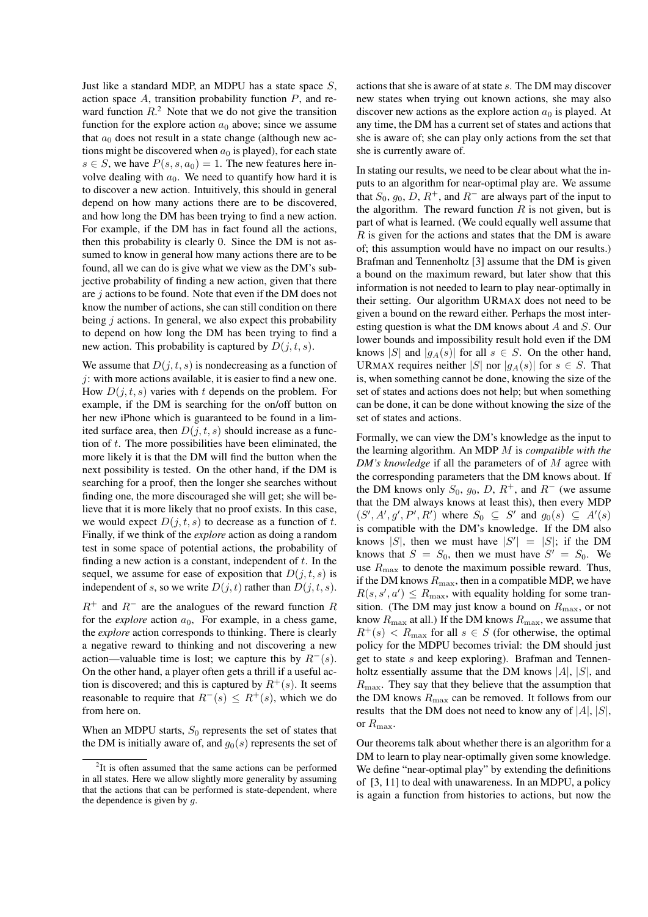Just like a standard MDP, an MDPU has a state space  $S$ , action space  $A$ , transition probability function  $P$ , and reward function  $R<sup>2</sup>$ . Note that we do not give the transition function for the explore action  $a_0$  above; since we assume that  $a_0$  does not result in a state change (although new actions might be discovered when  $a_0$  is played), for each state  $s \in S$ , we have  $P(s, s, a_0) = 1$ . The new features here involve dealing with  $a_0$ . We need to quantify how hard it is to discover a new action. Intuitively, this should in general depend on how many actions there are to be discovered, and how long the DM has been trying to find a new action. For example, if the DM has in fact found all the actions, then this probability is clearly 0. Since the DM is not assumed to know in general how many actions there are to be found, all we can do is give what we view as the DM's subjective probability of finding a new action, given that there are  $j$  actions to be found. Note that even if the DM does not know the number of actions, she can still condition on there being  $j$  actions. In general, we also expect this probability to depend on how long the DM has been trying to find a new action. This probability is captured by  $D(j, t, s)$ .

We assume that  $D(j, t, s)$  is nondecreasing as a function of  $\dot{\gamma}$ : with more actions available, it is easier to find a new one. How  $D(j, t, s)$  varies with t depends on the problem. For example, if the DM is searching for the on/off button on her new iPhone which is guaranteed to be found in a limited surface area, then  $D(j, t, s)$  should increase as a function of  $t$ . The more possibilities have been eliminated, the more likely it is that the DM will find the button when the next possibility is tested. On the other hand, if the DM is searching for a proof, then the longer she searches without finding one, the more discouraged she will get; she will believe that it is more likely that no proof exists. In this case, we would expect  $D(j, t, s)$  to decrease as a function of t. Finally, if we think of the *explore* action as doing a random test in some space of potential actions, the probability of finding a new action is a constant, independent of  $t$ . In the sequel, we assume for ease of exposition that  $D(j, t, s)$  is independent of s, so we write  $D(j, t)$  rather than  $D(j, t, s)$ .

 $R^+$  and  $R^-$  are the analogues of the reward function R for the *explore* action  $a_0$ , For example, in a chess game, the *explore* action corresponds to thinking. There is clearly a negative reward to thinking and not discovering a new action—valuable time is lost; we capture this by  $R^{-}(s)$ . On the other hand, a player often gets a thrill if a useful action is discovered; and this is captured by  $R^+(s)$ . It seems reasonable to require that  $R^{-}(s) \leq R^{+}(s)$ , which we do from here on.

When an MDPU starts,  $S_0$  represents the set of states that the DM is initially aware of, and  $g_0(s)$  represents the set of actions that she is aware of at state s. The DM may discover new states when trying out known actions, she may also discover new actions as the explore action  $a_0$  is played. At any time, the DM has a current set of states and actions that she is aware of; she can play only actions from the set that she is currently aware of.

In stating our results, we need to be clear about what the inputs to an algorithm for near-optimal play are. We assume that  $S_0$ ,  $g_0$ ,  $D$ ,  $R^+$ , and  $R^-$  are always part of the input to the algorithm. The reward function  $R$  is not given, but is part of what is learned. (We could equally well assume that  $R$  is given for the actions and states that the DM is aware of; this assumption would have no impact on our results.) Brafman and Tennenholtz [3] assume that the DM is given a bound on the maximum reward, but later show that this information is not needed to learn to play near-optimally in their setting. Our algorithm URMAX does not need to be given a bound on the reward either. Perhaps the most interesting question is what the DM knows about A and S. Our lower bounds and impossibility result hold even if the DM knows |S| and  $|g_A(s)|$  for all  $s \in S$ . On the other hand, URMAX requires neither |S| nor  $|g_A(s)|$  for  $s \in S$ . That is, when something cannot be done, knowing the size of the set of states and actions does not help; but when something can be done, it can be done without knowing the size of the set of states and actions.

Formally, we can view the DM's knowledge as the input to the learning algorithm. An MDP M is *compatible with the DM's knowledge* if all the parameters of of M agree with the corresponding parameters that the DM knows about. If the DM knows only  $S_0$ ,  $g_0$ ,  $D$ ,  $R^+$ , and  $R^-$  (we assume that the DM always knows at least this), then every MDP  $(S', A', g', P', R')$  where  $S_0 \subseteq S'$  and  $g_0(s) \subseteq A'(s)$ is compatible with the DM's knowledge. If the DM also knows |S|, then we must have  $|S'| = |S|$ ; if the DM knows that  $S = S_0$ , then we must have  $S' = S_0$ . We use  $R_{\text{max}}$  to denote the maximum possible reward. Thus, if the DM knows  $R_{\text{max}}$ , then in a compatible MDP, we have  $R(s, s', a') \le R_{\text{max}}$ , with equality holding for some transition. (The DM may just know a bound on  $R_{\text{max}}$ , or not know  $R_{\text{max}}$  at all.) If the DM knows  $R_{\text{max}}$ , we assume that  $R^+(s) < R_{\text{max}}$  for all  $s \in S$  (for otherwise, the optimal policy for the MDPU becomes trivial: the DM should just get to state s and keep exploring). Brafman and Tennenholtz essentially assume that the DM knows  $|A|$ ,  $|S|$ , and  $R_{\text{max}}$ . They say that they believe that the assumption that the DM knows  $R_{\text{max}}$  can be removed. It follows from our results that the DM does not need to know any of  $|A|, |S|$ , or  $R_{\text{max}}$ .

Our theorems talk about whether there is an algorithm for a DM to learn to play near-optimally given some knowledge. We define "near-optimal play" by extending the definitions of [3, 11] to deal with unawareness. In an MDPU, a policy is again a function from histories to actions, but now the

<sup>&</sup>lt;sup>2</sup>It is often assumed that the same actions can be performed in all states. Here we allow slightly more generality by assuming that the actions that can be performed is state-dependent, where the dependence is given by  $q$ .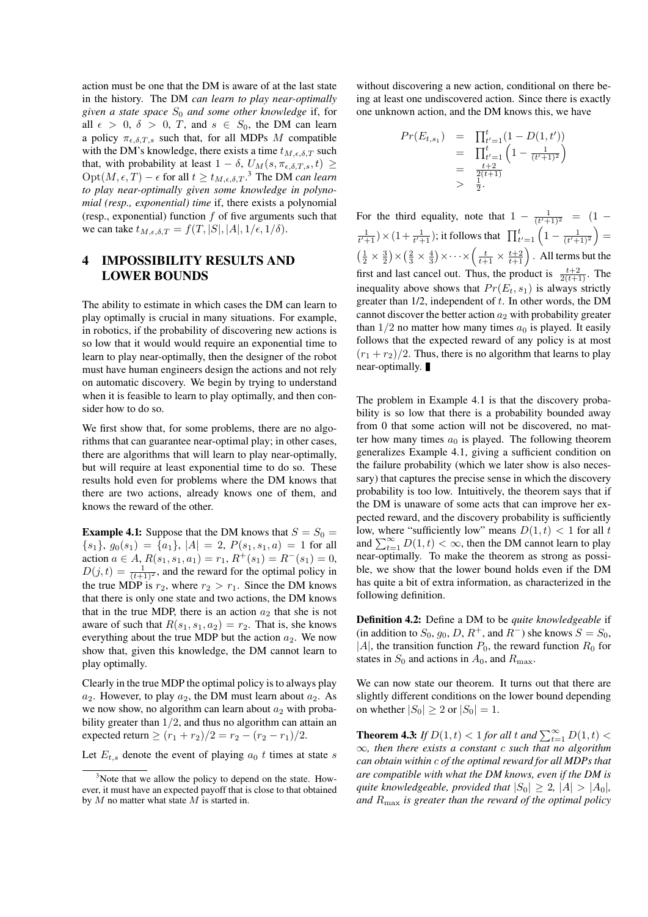action must be one that the DM is aware of at the last state in the history. The DM *can learn to play near-optimally given a state space* S<sup>0</sup> *and some other knowledge* if, for all  $\epsilon > 0$ ,  $\delta > 0$ , T, and  $s \in S_0$ , the DM can learn a policy  $\pi_{\epsilon,\delta,T,s}$  such that, for all MDPs M compatible with the DM's knowledge, there exists a time  $t_{M,\epsilon,\delta,T}$  such that, with probability at least  $1 - \delta$ ,  $U_M(s, \pi_{\epsilon, \delta, T, s}, t) \geq$  $\mathrm{Opt}(M, \epsilon, T) - \epsilon$  for all  $t \ge t_{M, \epsilon, \delta, T}$ .<sup>3</sup> The DM *can learn to play near-optimally given some knowledge in polynomial (resp., exponential) time* if, there exists a polynomial (resp., exponential) function  $f$  of five arguments such that we can take  $t_{M,\epsilon,\delta,T} = f(T, |S|, |A|, 1/\epsilon, 1/\delta).$ 

# 4 IMPOSSIBILITY RESULTS AND LOWER BOUNDS

The ability to estimate in which cases the DM can learn to play optimally is crucial in many situations. For example, in robotics, if the probability of discovering new actions is so low that it would would require an exponential time to learn to play near-optimally, then the designer of the robot must have human engineers design the actions and not rely on automatic discovery. We begin by trying to understand when it is feasible to learn to play optimally, and then consider how to do so.

We first show that, for some problems, there are no algorithms that can guarantee near-optimal play; in other cases, there are algorithms that will learn to play near-optimally, but will require at least exponential time to do so. These results hold even for problems where the DM knows that there are two actions, already knows one of them, and knows the reward of the other.

**Example 4.1:** Suppose that the DM knows that  $S = S_0$  =  ${s_1}, g_0(s_1) = {a_1}, |A| = 2, P(s_1, s_1, a) = 1$  for all action  $a \in A$ ,  $R(s_1, s_1, a_1) = r_1$ ,  $R^+(s_1) = R^-(s_1) = 0$ ,  $D(j,t) = \frac{1}{(t+1)^2}$ , and the reward for the optimal policy in the true MDP is  $r_2$ , where  $r_2 > r_1$ . Since the DM knows that there is only one state and two actions, the DM knows that in the true MDP, there is an action  $a_2$  that she is not aware of such that  $R(s_1, s_1, a_2) = r_2$ . That is, she knows everything about the true MDP but the action  $a_2$ . We now show that, given this knowledge, the DM cannot learn to play optimally.

Clearly in the true MDP the optimal policy is to always play  $a_2$ . However, to play  $a_2$ , the DM must learn about  $a_2$ . As we now show, no algorithm can learn about  $a_2$  with probability greater than  $1/2$ , and thus no algorithm can attain an expected return  $\ge (r_1 + r_2)/2 = r_2 - (r_2 - r_1)/2$ .

Let  $E_{t,s}$  denote the event of playing  $a_0$  t times at state s

without discovering a new action, conditional on there being at least one undiscovered action. Since there is exactly one unknown action, and the DM knows this, we have

$$
Pr(E_{t,s_1}) = \prod_{t'=1}^t (1 - D(1, t'))
$$
  
= 
$$
\prod_{t'=1}^t \left(1 - \frac{1}{(t'+1)^2}\right)
$$
  
= 
$$
\frac{t+2}{2(t+1)}
$$
  
> 
$$
\frac{1}{2}.
$$

For the third equality, note that  $1 - \frac{1}{(t'+1)^2} = (1 \frac{1}{t'+1}$ ) × (1+ $\frac{1}{t'+1}$ ); it follows that  $\prod_{t'=1}^{t} \left(1 - \frac{1}{(t'+1)^2}\right)$  =  $\left(\frac{1}{2} \times \frac{3}{2}\right) \times \left(\frac{2}{3} \times \frac{4}{3}\right) \times \cdots \times \left(\frac{t}{t+1} \times \frac{t+2}{t+1}\right)$ . All terms but the first and last cancel out. Thus, the product is  $\frac{t+2}{2(t+1)}$ . The inequality above shows that  $Pr(E_t, s_1)$  is always strictly greater than  $1/2$ , independent of  $t$ . In other words, the DM cannot discover the better action  $a_2$  with probability greater than  $1/2$  no matter how many times  $a_0$  is played. It easily follows that the expected reward of any policy is at most  $(r_1 + r_2)/2$ . Thus, there is no algorithm that learns to play near-optimally.

The problem in Example 4.1 is that the discovery probability is so low that there is a probability bounded away from 0 that some action will not be discovered, no matter how many times  $a_0$  is played. The following theorem generalizes Example 4.1, giving a sufficient condition on the failure probability (which we later show is also necessary) that captures the precise sense in which the discovery probability is too low. Intuitively, the theorem says that if the DM is unaware of some acts that can improve her expected reward, and the discovery probability is sufficiently low, where "sufficiently low" means  $D(1, t) < 1$  for all t and  $\sum_{t=1}^{\infty} D(1, t) < \infty$ , then the DM cannot learn to play near-optimally. To make the theorem as strong as possible, we show that the lower bound holds even if the DM has quite a bit of extra information, as characterized in the following definition.

Definition 4.2: Define a DM to be *quite knowledgeable* if (in addition to  $S_0$ ,  $g_0$ ,  $D$ ,  $R^+$ , and  $R^-$ ) she knows  $S = S_0$ , |A|, the transition function  $P_0$ , the reward function  $R_0$  for states in  $S_0$  and actions in  $A_0$ , and  $R_{\text{max}}$ .

We can now state our theorem. It turns out that there are slightly different conditions on the lower bound depending on whether  $|S_0| \ge 2$  or  $|S_0| = 1$ .

**Theorem 4.3:** *If*  $D(1, t) < 1$  *for all*  $t$  *and*  $\sum_{t=1}^{\infty} D(1, t) <$ ∞*, then there exists a constant* c *such that no algorithm can obtain within* c *of the optimal reward for all MDPs that are compatible with what the DM knows, even if the DM is quite knowledgeable, provided that*  $|S_0| \geq 2$ ,  $|A| > |A_0|$ , *and* Rmax *is greater than the reward of the optimal policy*

 $3$ Note that we allow the policy to depend on the state. However, it must have an expected payoff that is close to that obtained by  $M$  no matter what state  $M$  is started in.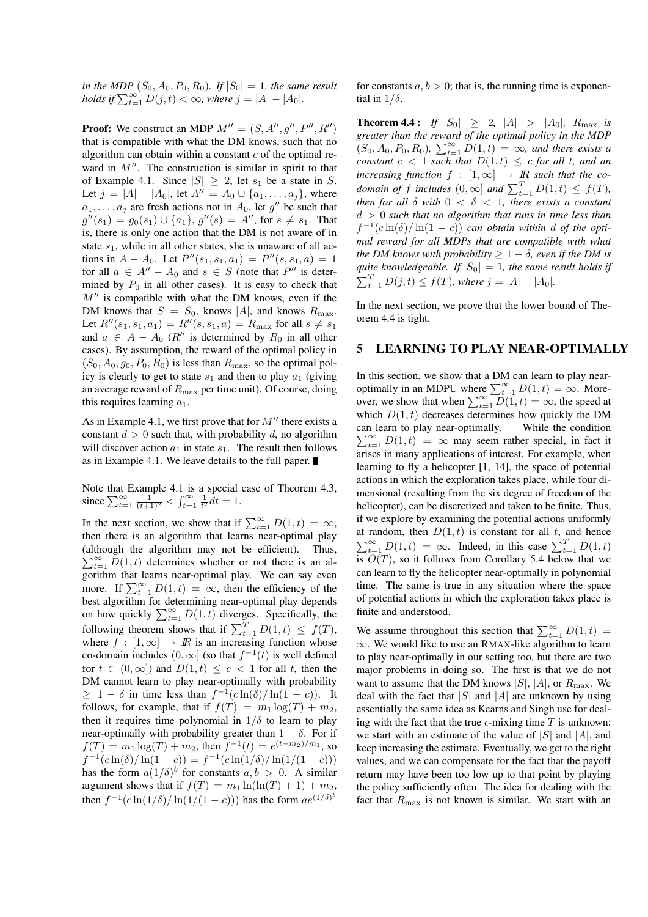*in the MDP*  $(S_0, A_0, P_0, R_0)$ *. If*  $|S_0| = 1$ *, the same result holds if*  $\sum_{t=1}^{\infty} D(j,t) < \infty$ , where  $j = |A| - |A_0|$ .

**Proof:** We construct an MDP  $M'' = (S, A'', g'', P'', R'')$ that is compatible with what the DM knows, such that no algorithm can obtain within a constant  $c$  of the optimal reward in  $M''$ . The construction is similar in spirit to that of Example 4.1. Since  $|S| \geq 2$ , let  $s_1$  be a state in S. Let  $j = |A| - |A_0|$ , let  $A'' = A_0 \cup \{a_1, \ldots, a_j\}$ , where  $a_1, \ldots, a_j$  are fresh actions not in  $A_0$ , let  $g''$  be such that  $g''(s_1) = g_0(s_1) \cup \{a_1\}, g''(s) = A''$ , for  $s \neq s_1$ . That is, there is only one action that the DM is not aware of in state  $s_1$ , while in all other states, she is unaware of all actions in  $A - A_0$ . Let  $P''(s_1, s_1, a_1) = P''(s, s_1, a) = 1$ for all  $a \in A'' - A_0$  and  $s \in S$  (note that P'' is determined by  $P_0$  in all other cases). It is easy to check that  $M''$  is compatible with what the DM knows, even if the DM knows that  $S = S_0$ , knows |A|, and knows  $R_{\text{max}}$ . Let  $R''(s_1, s_1, a_1) = R''(s, s_1, a) = R_{\text{max}}$  for all  $s \neq s_1$ and  $a \in A - A_0$  ( $R''$  is determined by  $R_0$  in all other cases). By assumption, the reward of the optimal policy in  $(S_0, A_0, g_0, P_0, R_0)$  is less than  $R_{\text{max}}$ , so the optimal policy is clearly to get to state  $s_1$  and then to play  $a_1$  (giving an average reward of  $R_{\text{max}}$  per time unit). Of course, doing this requires learning  $a_1$ .

As in Example 4.1, we first prove that for  $M''$  there exists a constant  $d > 0$  such that, with probability d, no algorithm will discover action  $a_1$  in state  $s_1$ . The result then follows as in Example 4.1. We leave details to the full paper.

Note that Example 4.1 is a special case of Theorem 4.3, since  $\sum_{t=1}^{\infty} \frac{1}{(t+1)^2} < \int_{t=1}^{\infty} \frac{1}{t^2} dt = 1$ .

In the next section, we show that if  $\sum_{t=1}^{\infty} D(1, t) = \infty$ , then there is an algorithm that learns near-optimal play (although the algorithm may not be efficient). Thus,  $\sum_{t=1}^{\infty} D(1, t)$  determines whether or not there is an algorithm that learns near-optimal play. We can say even more. If  $\sum_{t=1}^{\infty} D(1, t) = \infty$ , then the efficiency of the best algorithm for determining near-optimal play depends on how quickly  $\sum_{t=1}^{\infty} D(1, t)$  diverges. Specifically, the following theorem shows that if  $\sum_{t=1}^{T} D(1, t) \leq f(T)$ , where  $f : [1, \infty] \rightarrow \mathbb{R}$  is an increasing function whose co-domain includes  $(0, \infty]$  (so that  $f^{-1}(t)$  is well defined for  $t \in (0, \infty]$  and  $D(1, t) \leq c < 1$  for all t, then the DM cannot learn to play near-optimally with probability  $\geq 1 - \delta$  in time less than  $f^{-1}(c \ln(\delta)/\ln(1-c))$ . It follows, for example, that if  $f(T) = m_1 \log(T) + m_2$ , then it requires time polynomial in  $1/\delta$  to learn to play near-optimally with probability greater than  $1 - \delta$ . For if  $f(T) = m_1 \log(T) + m_2$ , then  $f^{-1}(t) = e^{(t-m_2)/m_1}$ , so  $f^{-1}(c\ln(\delta)/\ln(1-c)) = f^{-1}(c\ln(1/\delta)/\ln(1/(1-c)))$ has the form  $a(1/\delta)^b$  for constants  $a, b > 0$ . A similar argument shows that if  $f(T) = m_1 \ln(\ln(T) + 1) + m_2$ , then  $f^{-1}(c\ln(1/\delta)/\ln(1/(1-c)))$  has the form  $ae^{(1/\delta)^b}$ 

for constants  $a, b > 0$ ; that is, the running time is exponential in  $1/\delta$ .

**Theorem 4.4:** If  $|S_0| \ge 2$ ,  $|A| > |A_0|$ ,  $R_{\text{max}}$  is *greater than the reward of the optimal policy in the MDP*  $(S_0, A_0, P_0, R_0)$ ,  $\sum_{t=1}^{\infty} D(1, t) = \infty$ , and there exists a *constant*  $c < 1$  *such that*  $D(1,t) \leq c$  *for all t, and an increasing function*  $f : [1, \infty] \rightarrow \mathbb{R}$  *such that the codomain of* f *includes*  $(0, \infty]$  *and*  $\sum_{t=1}^{T} D(1, t) \leq f(T)$ *, then for all* δ *with* 0 < δ < 1*, there exists a constant* d > 0 *such that no algorithm that runs in time less than*  $f^{-1}(c\ln(\delta)/\ln(1-c))$  *can obtain within d of the optimal reward for all MDPs that are compatible with what the DM knows with probability*  $> 1 - \delta$ *, even if the DM is quite knowledgeable. If*  $|S_0| = 1$ *, the same result holds if*  $\sum_{t=1}^{T} D(j,t) \le f(T)$ *, where*  $j = |A| - |A_0|$ *.* 

In the next section, we prove that the lower bound of Theorem 4.4 is tight.

#### 5 LEARNING TO PLAY NEAR-OPTIMALLY

In this section, we show that a DM can learn to play nearoptimally in an MDPU where  $\sum_{t=1}^{\infty} D(1, t) = \infty$ . Moreover, we show that when  $\sum_{t=1}^{\infty} \overline{D(1,t)} = \infty$ , the speed at which  $D(1, t)$  decreases determines how quickly the DM can learn to play near-optimally. While the condition  $\sum_{t=1}^{\infty} D(1,t) = \infty$  may seem rather special, in fact it arises in many applications of interest. For example, when learning to fly a helicopter [1, 14], the space of potential actions in which the exploration takes place, while four dimensional (resulting from the six degree of freedom of the helicopter), can be discretized and taken to be finite. Thus, if we explore by examining the potential actions uniformly at random, then  $D(1, t)$  is constant for all t, and hence  $\sum_{t=1}^{\infty} D(1, t) = \infty$ . Indeed, in this case  $\sum_{t=1}^{T} D(1, t)$ is  $O(T)$ , so it follows from Corollary 5.4 below that we can learn to fly the helicopter near-optimally in polynomial time. The same is true in any situation where the space of potential actions in which the exploration takes place is finite and understood.

We assume throughout this section that  $\sum_{t=1}^{\infty} D(1, t)$  = ∞. We would like to use an RMAX-like algorithm to learn to play near-optimally in our setting too, but there are two major problems in doing so. The first is that we do not want to assume that the DM knows  $|S|, |A|$ , or  $R_{\text{max}}$ . We deal with the fact that  $|S|$  and  $|A|$  are unknown by using essentially the same idea as Kearns and Singh use for dealing with the fact that the true  $\epsilon$ -mixing time T is unknown: we start with an estimate of the value of  $|S|$  and  $|A|$ , and keep increasing the estimate. Eventually, we get to the right values, and we can compensate for the fact that the payoff return may have been too low up to that point by playing the policy sufficiently often. The idea for dealing with the fact that  $R_{\text{max}}$  is not known is similar. We start with an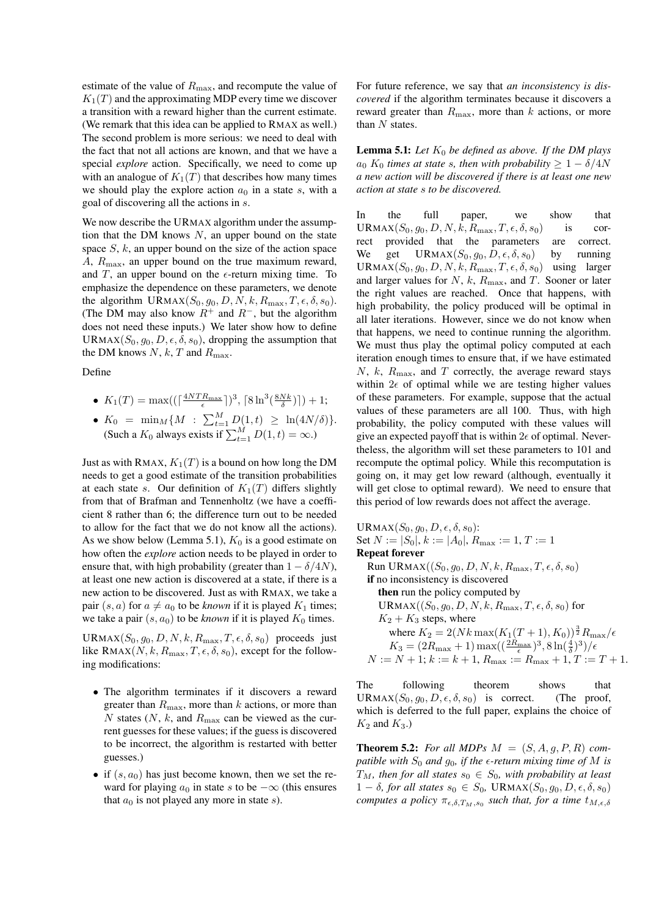estimate of the value of  $R_{\text{max}}$ , and recompute the value of  $K_1(T)$  and the approximating MDP every time we discover a transition with a reward higher than the current estimate. (We remark that this idea can be applied to RMAX as well.) The second problem is more serious: we need to deal with the fact that not all actions are known, and that we have a special *explore* action. Specifically, we need to come up with an analogue of  $K_1(T)$  that describes how many times we should play the explore action  $a_0$  in a state s, with a goal of discovering all the actions in s.

We now describe the URMAX algorithm under the assumption that the DM knows  $N$ , an upper bound on the state space  $S$ ,  $k$ , an upper bound on the size of the action space A,  $R_{\text{max}}$ , an upper bound on the true maximum reward, and T, an upper bound on the  $\epsilon$ -return mixing time. To emphasize the dependence on these parameters, we denote the algorithm URMAX $(S_0, g_0, D, N, k, R_{\text{max}}, T, \epsilon, \delta, s_0)$ . (The DM may also know  $R^+$  and  $R^-$ , but the algorithm does not need these inputs.) We later show how to define URMAX $(S_0, q_0, D, \epsilon, \delta, s_0)$ , dropping the assumption that the DM knows  $N, k, T$  and  $R_{\text{max}}$ .

Define

• 
$$
K_1(T) = \max\left( \left( \left\lceil \frac{4NTR_{\max}}{\epsilon} \right\rceil \right)^3, \left\lceil 8\ln^3\left(\frac{8Nk}{\delta}\right) \right\rceil \right) + 1;
$$

•  $K_0 = \min_M \{ M : \sum_{t=1}^M D(1,t) \geq \ln(4N/\delta) \}.$ (Such a  $K_0$  always exists if  $\sum_{t=1}^{M} D(1, t) = \infty$ .)

Just as with RMAX,  $K_1(T)$  is a bound on how long the DM needs to get a good estimate of the transition probabilities at each state s. Our definition of  $K_1(T)$  differs slightly from that of Brafman and Tennenholtz (we have a coefficient 8 rather than 6; the difference turn out to be needed to allow for the fact that we do not know all the actions). As we show below (Lemma 5.1),  $K_0$  is a good estimate on how often the *explore* action needs to be played in order to ensure that, with high probability (greater than  $1 - \delta/4N$ ), at least one new action is discovered at a state, if there is a new action to be discovered. Just as with RMAX, we take a pair  $(s, a)$  for  $a \neq a_0$  to be *known* if it is played  $K_1$  times; we take a pair  $(s, a_0)$  to be *known* if it is played  $K_0$  times.

URMAX $(S_0, g_0, D, N, k, R_{\text{max}}, T, \epsilon, \delta, s_0)$  proceeds just like RMAX $(N, k, R_{\text{max}}, T, \epsilon, \delta, s_0)$ , except for the following modifications:

- The algorithm terminates if it discovers a reward greater than  $R_{\text{max}}$ , more than k actions, or more than N states  $(N, k, \text{ and } R_{\text{max}})$  can be viewed as the current guesses for these values; if the guess is discovered to be incorrect, the algorithm is restarted with better guesses.)
- if  $(s, a_0)$  has just become known, then we set the reward for playing  $a_0$  in state s to be  $-\infty$  (this ensures that  $a_0$  is not played any more in state s).

For future reference, we say that *an inconsistency is discovered* if the algorithm terminates because it discovers a reward greater than  $R_{\text{max}}$ , more than k actions, or more than  $N$  states.

**Lemma 5.1:** Let  $K_0$  be defined as above. If the DM plays  $a_0 K_0$  *times at state s, then with probability*  $\geq 1 - \delta/4N$ *a new action will be discovered if there is at least one new action at state* s *to be discovered.*

In the full paper, we show that URMAX $(S_0, g_0, D, N, k, R_{\text{max}}, T, \epsilon, \delta, s_0)$  is correct provided that the parameters are correct. We get URMAX $(S_0, g_0, D, \epsilon, \delta, s_0)$  by running URMAX $(S_0, g_0, D, N, k, R_{\text{max}}, T, \epsilon, \delta, s_0)$  using larger and larger values for  $N$ ,  $k$ ,  $R_{\text{max}}$ , and  $T$ . Sooner or later the right values are reached. Once that happens, with high probability, the policy produced will be optimal in all later iterations. However, since we do not know when that happens, we need to continue running the algorithm. We must thus play the optimal policy computed at each iteration enough times to ensure that, if we have estimated  $N, k, R<sub>max</sub>$ , and T correctly, the average reward stays within  $2\epsilon$  of optimal while we are testing higher values of these parameters. For example, suppose that the actual values of these parameters are all 100. Thus, with high probability, the policy computed with these values will give an expected payoff that is within  $2\epsilon$  of optimal. Nevertheless, the algorithm will set these parameters to 101 and recompute the optimal policy. While this recomputation is going on, it may get low reward (although, eventually it will get close to optimal reward). We need to ensure that this period of low rewards does not affect the average.

URMAX $(S_0, g_0, D, \epsilon, \delta, s_0)$ : Set  $N := |S_0|, k := |A_0|, R_{\text{max}} := 1, T := 1$ Repeat forever Run URMAX $((S_0, g_0, D, N, k, R_{\text{max}}, T, \epsilon, \delta, s_0))$ if no inconsistency is discovered then run the policy computed by URMAX $((S_0, g_0, D, N, k, R_{\text{max}}, T, \epsilon, \delta, s_0)$  for  $K_2 + K_3$  steps, where where  $K_2 = 2(Nk \max(K_1(T + 1), K_0))^{\frac{3}{2}} R_{\max}/\epsilon$  $K_3 = (2R_{\text{max}} + 1) \max((\frac{2R_{\text{max}}}{\epsilon})^3, 8 \ln(\frac{4}{\delta})^3)/\epsilon$  $N := N + 1; k := k + 1, R_{\text{max}} := R_{\text{max}} + 1, T := T + 1.$ 

The following theorem shows that URMAX $(S_0, g_0, D, \epsilon, \delta, s_0)$  is correct. (The proof, which is deferred to the full paper, explains the choice of  $K_2$  and  $K_3$ .)

**Theorem 5.2:** For all MDPs  $M = (S, A, g, P, R)$  com*patible with*  $S_0$  *and*  $g_0$ *, if the*  $\epsilon$ *-return mixing time of* M *is*  $T_M$ , then for all states  $s_0 \in S_0$ , with probability at least  $1 - \delta$ , for all states  $s_0 \in S_0$ , URMAX $(S_0, g_0, D, \epsilon, \delta, s_0)$ *computes a policy*  $\pi_{\epsilon,\delta,T_M,s_0}$  *such that, for a time*  $t_{M,\epsilon,\delta}$